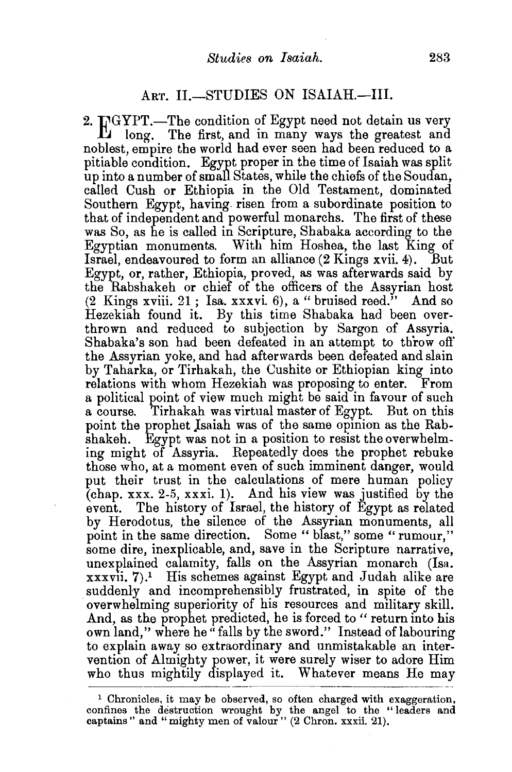## ART. II.-STUDIES ON ISAIAH.--III.

2. INGYPT.-The condition of Egypt need not detain us very  $\mathbf{L}$  long. The first, and in many ways the greatest and noblest, empire the world had ever seen had been reduced to a pitiable condition. Egypt proper in the time of Isaiah was split up into a number of small States, while the chiefs of the Soudan, called Cush or Ethiopia in the Old Testament, dominated Southern Egypt, having. risen from a subordinate position to that of independent and powerful monarchs. The first of these was So, as he is called in Scripture, Shabaka according to the Egyptian monuments. With him Hoshea, the last King of Israel, endeavoured to form an alliance (2 Kings xvii. 4). But Egypt, or, rather, Ethiopia, proved, as was afterwards said by the Rabshakeh or chief of the officers of the Assyrian host  $(2$  Kings xviii.  $21$ ; Isa. xxxvi. 6), a "bruised reed." And so Hezekiah found it. By this time Shabaka had been overthrown and reduced to subjection by Sargon of Assyria. Shabaka's son had been defeated in an attempt to throw oft' the Assyrian yoke, and had afterwards been defeated and slain by Taharka, or Tirhakah, the Cushite or Ethiopian king into relations with whom Hezekiah was proposing to enter. From a political point of view much might be said in favour of such a course. Tirhakah was virtual master of Egypt. But on this point the prophet Jsaiah was of the same opinion as the Rabshakeh. Egypt was not in a position to resist the overwhelming might of Assyria. Repeatedly does the prophet rebuke those who, at a moment even of such imminent danger, would put their trust in the calculations of mere human policy (chap. xxx. 2-5, xxxi. 1). And his view was justified by the event. The history of Israel, the history of Egypt as related by Herodotus, the silence of the Assyrian monuments, all point in the same direction. Some "blast," some "rumour," some dire, inexplicable, and, save in the Scripture narrative. unexplained calamity, falls on the Assyrian monarch (Isa.  $xxxxii$ , 7).<sup>1</sup> His schemes against Egypt and Judah alike are suddenly and incomprehensibly frustrated, in spite of the overwhelming superiority of his resources and military skill. And, as the prophet predicted, he is forced to " return into his own land," where he "falls by the sword." Instead of labouring to explain away so extraordinary and unmistakable an intervention of Almighty power, it were surely wiser to adore Him who thus mightily displayed it. Whatever means He may

<sup>&</sup>lt;sup>1</sup> Chronicles, it may be observed, so often charged with exaggeration, confines the destruction wrought by the angel to the " leaders and captains" and "mighty men of valour" (2 Chron. xxxii. 21).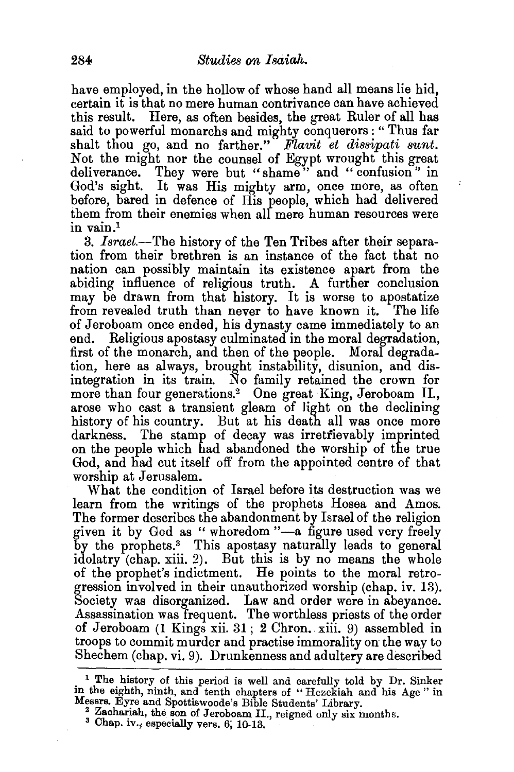have employed, in the hollow of whose hand all means lie hid. certain it is that no mere human contrivance can have achieved this result. Here, as often besides, the great Ruler of all has said to powerful monarchs and mighty conquerors: " Thus far shalt thou go, and no farther." *Flavit et dissipati sunt.*  Not the might nor the counsel of Egypt wrought this great deliverance. They were but "shame" and "confusion" in God's sight. It was His mighty arm, once more, as often before, bared in defence of His people, which had delivered them from their enemies when all mere human resources were in vain.<sup>1</sup>

3. *Israel.-*The history of the Ten Tribes after their separation from their brethren is an instance of the fact that no nation can possibly maintain its existence apart from the abiding influence of religious truth. A further conclusion may be drawn from that history. It is worse to apostatize from revealed truth than never to have known it. The life of Jeroboam once ended, his dynasty came immediately to an end. Religious apostasy culminated in the moral degradation, first of the monarch, and then of the eeople. Moral degradation, here as always, brought instability, disunion, and disintegration in its train. No family retained the crown for more than four generations.<sup>2</sup> One great King, Jeroboam II., arose who cast a transient gleam of light on the declining history of his country. But at his death all was once more darkness. The stamp of decay was irretrievably imprinted on the people which had abandoned the worship of the true God, and had cut itself off from the appointed centre of that worship at Jerusalem.

What the condition of Israel before its destruction was we learn from the writings of the prophets Hosea and Amos. The former describes the abandonment by Israel of the religion given it by God as "whoredom "-a figure used very freely by the prophets.3 This apostasy naturally leads to general idolatry (chap. xiii. 2). But this is by no means the whole of the prophet's indictment. He points to the moral retrogression involved in their unauthorized worship (chap. iv. 13). Society was disorganized. Law and order were in abeyance. Assassination was frequent. The worthless priests of the order of Jeroboam (1 Kings xii. 31; 2 Chron. xiii. 9) assembled in troops to commit murder and practise immorality on the way to Shechem (chap. vi. 9). Drunkenness and adultery are described

<sup>&</sup>lt;sup>1</sup> The history of this period is well and carefully told by Dr. Sinker in the eighth, ninth, and tenth chapters of "Hezekiah and his Age" in Messrs. Eyre and Spottiswoode's Bible Students' Library.

<sup>&</sup>lt;sup>2</sup> Zachariah, the son of Jeroboam II., reigned only six months. <sup>3</sup> Chap. iv., especially vers. 6, 10-13.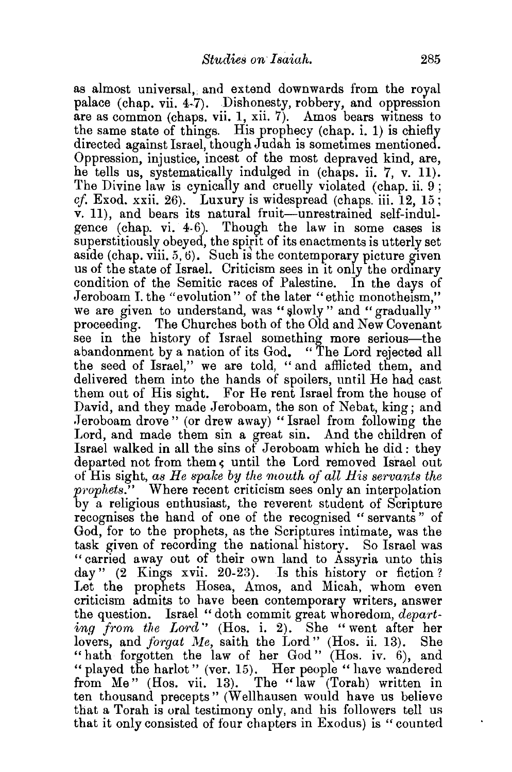as almost universal, and extend downwards from the royal palace (chap. vii. 4-7). Dishonesty, robbery, and oppression are as common (chaps. vii. 1, xii. 7). Amos bears witness to the same state of things. His prophecy (chap. i. 1) is chiefly directed against Israel, though Judah is sometimes mentioned. Oppression, injustice, incest of the most depraved kind, are, he tells us, systematically indulged in (chaps. ii. 7, v. 11). The Divine law is cynically and cruelly violated (chap. ii.  $9$ ; *cf.* Exod. xxii. 26). Luxury is widespread (chaps. iii. 12, 15; v. 11), and bears its natural fruit-unrestrained self-indulgence (chap. vi. 4-6). Though the law in some cases is superstitiously obeyed, the spirit of its enactments is utterly set aside (chap. viii.  $5, 6$ ). Such is the contemporary picture given us of the state of Israel. Criticism sees in it only the ordmary condition of the Semitic races of Palestine. In the days of Jeroboam I. the "evolution" of the later "ethic monotheism," we are given to understand, was "slowly" and "gradually" proceeding. The Churches both of the Old and New Covenant see in the history of Israel something more serious—the abandonment by a nation of its God. " The Lord rejected all the seed of Israel," we are told, "and afflicted them, and delivered them into the hands of spoilers, until He had cast them out of His sight. For He rent Israel from the house of David, and they made Jeroboam, the son of Nebat, king; and .Jeroboam drove" (or drew away) "Israel from following the Lord, and made them sin a great sin. And the children of Israel walked in all the sins of Jeroboam which he did: they departed not from them, until the Lord removed Israel out of His sight, *as He spalce* by *the mouth of all His servants the*  prophets." Where recent criticism sees only an interpolation by a religious enthusiast, the reverent student of Scripture recognises the hand of one of the recognised " servants" of God, for to the prophets, as the Scriptures intimate, was the task given of recording the national history. So Israel was "carried away out of their own land to Assyria unto this day" (2 Kings xvii. 20-23). Is this history or fiction? Let the prophets Hosea, Amos, and Micah, whom even criticism admits to have been contemporary writers, answer the question. Israel " doth commit great whoredom, *departing from the Lord''* (Hos. i. 2). She "went after her lovers, and *forgat Me,* saith the Lord" (Hos. ii. 13). She "hath forgotten the law of her God" (Hos. iv. 6), and " played the harlot" (ver. 15). Her people "have wandered from Me" (Hos. vii. 13). The "law (Torah) written in ten thousand precepts" (Wellhausen would have us believe that a Torah is oral testimony only, and his followers tell us that it only consisted of four chapters in Exodus) is "counted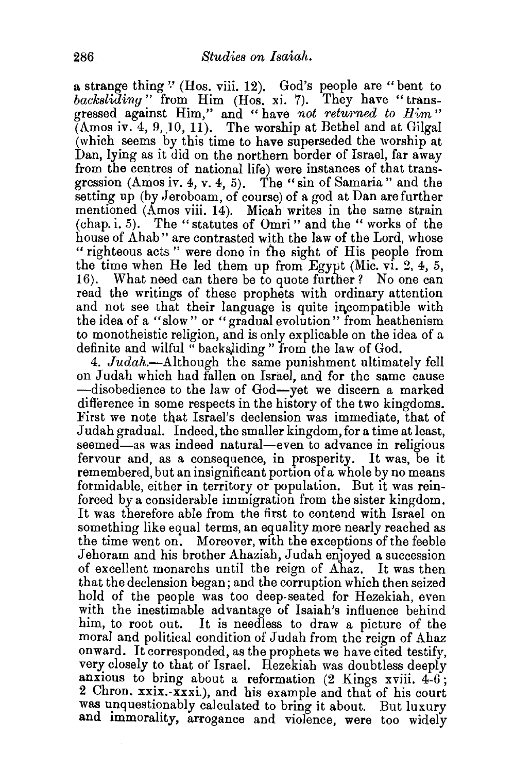a strange thing " (Hos. viii. 12). God's people are "bent to *backsliding* " from Him (Hos. xi. 7). They have "transgressed against Him," and "have *not returned to Him"*  (Amos iv. 4, 9, *)0,* 11). The worship at Bethel and at Gilgal (which seems by this time to have superseded the worship at Dan, lying as it did on the northern border of Israel, far away from the centres of national life) were instances of that transgression (Amos *iv.* 4, v. 4, 5). The "sin of Samaria" and the setting up (by Jeroboam, of course) of a god at Dan are further mentioned (Amos viii. 14). Micah writes in the same strain (chap. i. 5). The "statutes of Omri" and the "works of the house of Ahab" are contrasted with the law of the Lord, whose " righteous acts " were done in the sight of His people from the time when He led them up from Egypt (Mic. vi. 2, 4, 5, 16). What need can there be to quote further? No one can read the writings of these prophets with ordinary attention and not see that their language is quite incompatible with the idea of a "slow" or "gradual evolution" from heathenism to monotheistic religion, and is only explicable on the idea of a definite and wilful "backs)iding" from the law of God.

4. *Judah.-Although* the same punishment ultimately fell on Judah which had fallen on Israel, and for the same cause -disobedience to the law of God-yet we discern a marked difference in some respects in the history of the two kingdoms. First we note that Israel's declension was immediate, that of Judah gradual. Indeed, the smaller kingdom, for a time at least, seemed—as was indeed natural—even to advance in religious fervour and, as a consequence, in prosperity. It was, be it remembered, but an insignificant portion of a whole by no means formidable, either in territory or population. But it was reinforced by a considerable immigration from the sister kingdom. It was therefore able from the first to contend with Israel on something like equal terms, an equality more nearly reached as the time went on. Moreover, with the exceptions of the feeble Jehoram and his brother Ahaziah, Judah enjoyed a succession of excellent monarchs until the reign of Ahaz. It was then that the declension began; and the corruption which then seized hold of the people was too deep-seated for Hezekiah, even with the inestimable advantage of Isaiah's influence behind him, to root out. It is needless to draw a picture of the moral and political condition of Judah from the reign of Ahaz onward. It corresponded, as the prophets we have cited testify, very closely to that of Israel. Hezekiah was doubtless deeply anxious to bring about a reformation  $(2 \text{ Kings} xviii. 4-6)$ ; 2 Chron. xxix.-xxxi.), and his example and that of his court was unquestionably calculated to bring it about. But luxury and immorality, arrogance and violence, were too widely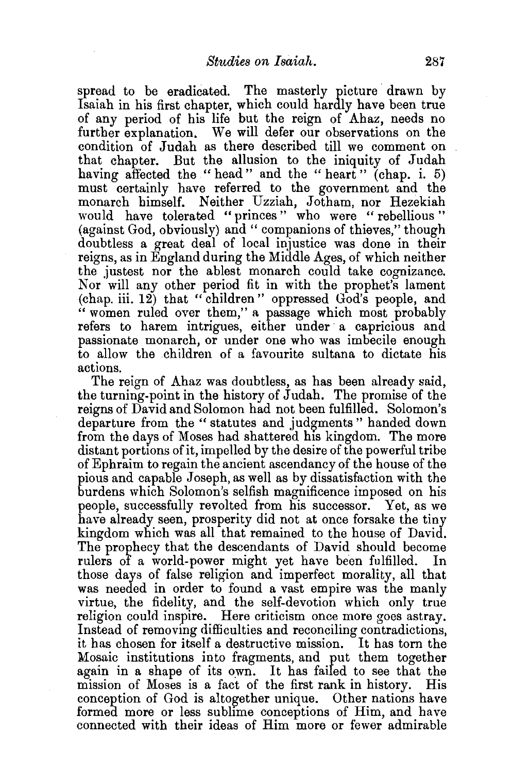spread to be eradicated. The masterly picture drawn by Isaiah in his first chapter, which could hardly have been true of any period of his life but the reign of Ahaz, needs no further explanation. We will defer our observations on the condition of Judah as there described till we comment on that chapter. But the allusion to the iniquity of Judah having affected the "head" and the "heart" (chap. i. 5) must certainly have referred to the government and the monarch himself. Neither Uzziah, Jotham, nor Hezekiah would have tolerated "princes" who were " rebellious " (against God, obviously) and " companions of thieves," though doubtless a great deal of local injustice was done in their reigns, as in England during the Middle Ages, of which neither the justest nor the ablest monarch could take cognizance. Nor will any other period fit in with the prophet's lament (chap. iii. 12) that "children" oppressed God's people, and " women ruled over them," a passage which most probably refers to harem intrigues, either under a capricious and passionate monarch, or under one who was imbecile enough to allow the children of a favourite sultana to dictate his actions.

The reign of Ahaz was doubtless, as has been already said, the turning-point in the history of Judah. The promise of the reigns of David and Solomon had not been fulfilled. Solomon's departure from the "statutes and judgments" handed down from the days of Moses had shattered his kingdom. The more distant portions of it, impelled by the desire of the powerful tribe of Ephraim to regain the ancient ascendancy of the house of the pious and capable Joseph, as well as by dissatisfaction with the burdens which Solomon's selfish magnificence imposed on his people, successfully revolted from his successor. Yet, as we have already seen, prosperity did not at once forsake the tiny kingdom which was all that remained to the house of David. The prophecy that the descendants of David should become rulers of a world-power might yet have been fulfilled. In those days of false religion and imperfect morality, all that was needed in order to found a vast empire was the manly virtue, the fidelity, and the self-devotion which only true religion could inspire. Here criticism once more goes astray. Instead of removing difficulties and reconciling contradictions, it has chosen for itself a destructive mission. It has torn the Mosaic institutions into fragments, and put them together again in a shape of its own. It has failed to see that the mission of Moses is a fact of the first rank in history. His conception of God is altogether unique. Other nations have formed more or less sublime conceptions of Him, and have connected with their ideas of Him more or fewer admirable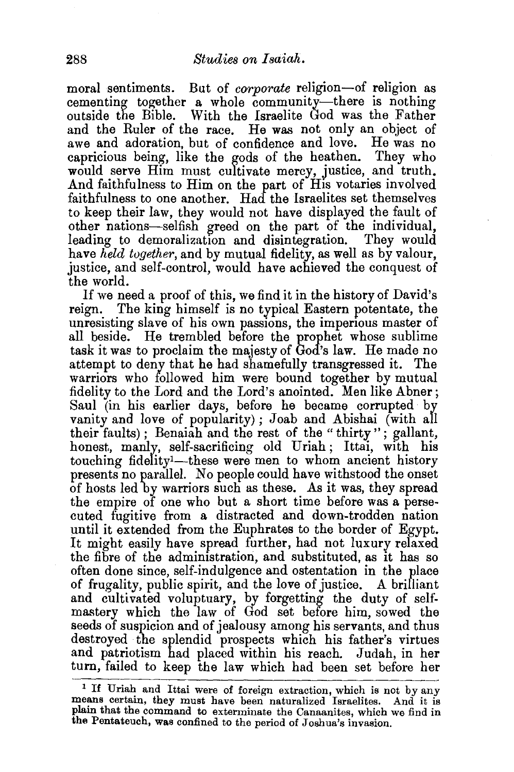moral sentiments. But of *corporate* religion-of religion as cementing together a whole community-there is nothing outside the Bible. With the Israelite God was the Father and the Ruler of the race. He was not only an object of awe and adoration, but of confidence and love. He was no capricious being, like the gods of the heathen. They who would serve Him must cultivate mercy, justice, and truth. And faithfulness to Him on the part of His votaries involved faithfulness to one another. Had the Israelites set themselves to keep their law, they would not have displayed the fault of other nations-selfish greed on the part of the individual, leading to demoralization and disintegration. They would have *held together,* and by mutual fidelity, as well as by valour, justice, and self-control, would have achieved the conquest of the world.

If we need a proof of this, we find it in the history of David's reign. The king himself is no typical Eastern potentate, the unresisting slave of his own passions, the imperious master of all beside. He trembled before the prophet whose sublime task it was to proclaim the majesty of God's law. He made no attempt to deny that he had shamefully transgressed it. The warriors who followed him were bound together by mutual fidelity to the Lord and the Lord's anointed. Men like Abner; Saul (in his earlier days, before he became corrupted by vanity and love of popularity); Joab and Abishai (with all their faults) ; Benaiah and the rest of the " thirty" ; gallant, honest., manly, self-sacrificing old Uriah; Ittai, with his touching fidelity<sup>1</sup>—these were men to whom ancient history presents no parallel. No people could have withstood the onset of hosts led by warriors such as these. As it was, they spread the empire of one who but a short time before was a persecuted fugitive from a distracted and down-trodden nation until it extended from the Euphrates to the border of Egypt. It might easily have spread further, had not luxury relaxed the fibre of the administration, and substituted, as it has so often done since, self-indulgence and ostentation in the place of frugality, public spirit, and the love of justice. A brilliant and cultivated voluptuary, by forgetting the duty of selfmastery which the law of God set before him, sowed the seeds of suspicion and of jealousy among his servants, and thus destroyed the splendid prospects which his father's virtues and patriotism had placed within his reach. Judah, in her turn, failed to keep the law which had been set before her

<sup>1</sup>If Uriah and Ittai were of foreign extraction, which is not by any means certain, they must have been naturalized Israelites. And it is plain that the command to exterminate the Canaanites, which we find in the Pentateuch, was confined to the period of Joshua's invasion.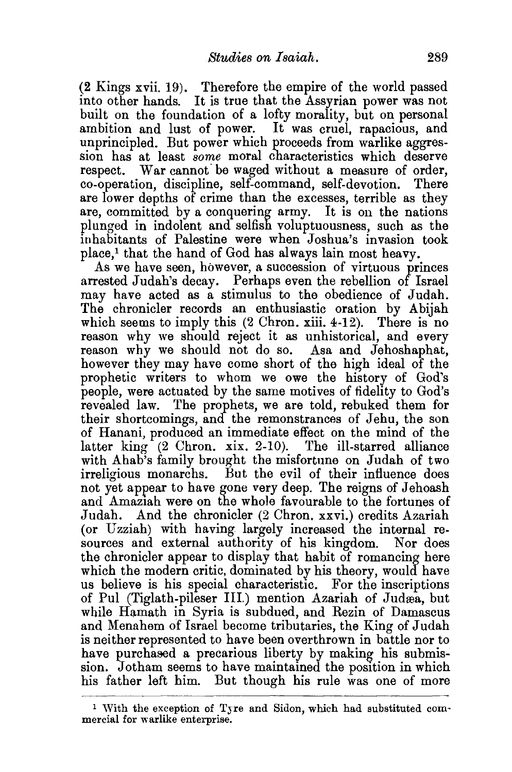(2 Kings xvii. 19). Therefore the empire of the world passed into other hands. It is true that the Assyrian power was not built on the foundation of a lofty morality, but on personal ambition and lust of power. It was cruel, rapacious, and unprincipled. But power which proceeds from warlike aggression has at least *some* moral cbaracteristics which deserve respect. War cannot be waged without a measure of order, co-operation, discipline, self-command, self-devotion. There are lower depths of crime than the excesses, terrible as they are, committed by a conquering army. It is on the nations plunged in indolent and selfish voluptuousness, such as the inhabitants of Palestine were when Joshua's invasion took place,! that the hand of God has always lain most heavy.

As we have seen, however, a succession of virtuous princes arrested Judah's decay. Perhaps even the rebellion of Israel may have acted as a stimulus to the obedience of Judah. The chronicler records an enthusiastic oration by Abijah which seems to imply this (2 Chron. xiii. 4-12). There is no reason why we should reject it as unhistorical, and every reason why we should not do so. Asa and Jehoshaphat, however they may have come short of the high ideal of the prophetic writers to whom we owe the history of God's people, were actuated by the same motives of fidelity to God's revealed law. The prophets, we are told, rebuked them for their shortcomings, and the remonstrances of Jehu, the son of Hanani, produced an immediate effect on the mind of the latter king (2 Chron. xix. 2-10). The ill-starred alliance with Ahab's family brought the misfortune on Judah of two irreligious monarchs. But the evil of their influence does not yet appear to have gone very deep. The reigns of Jehoash and Amaztah were on the whole favourable to the fortunes of Judah. And the chronicler (2 Chron. xxvi.) credits Azariah (or Uzziah) with having largely increased the internal resources and external authority of his kingdom. Nor does the chronicler appear to display that habit of romancing here which the modern critic, dominated by his theory, would have us believe is his special characteristic. For the inscriptions of Pul (Tiglath-pileser III.) mention Azariah of Judrea, but while Hamath in Syria is subdued, and Rezin of Damascus and Menahem of Israel become tributaries, the King of Judah is neither represented to have been overthrown in battle nor to have purchased a precarious liberty by making his submission. Jotham seems to have maintained the position in which his father left him. But though his rule was one of more

<sup>1</sup>With the exception of Tjre and Sidon, which had substituted com- mercial for warlike enterprise.